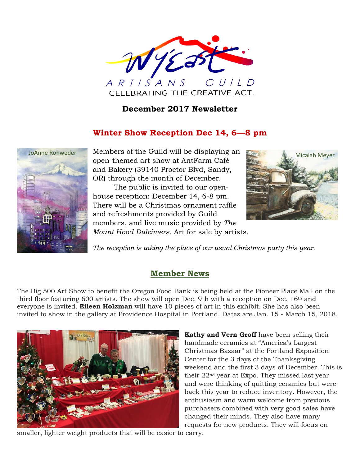

#### **December 2017 Newsletter**

### **Winter Show Reception Dec 14, 6—8 pm**



JoAnne Rohweder Members of the Guild will be displaying an Micaiah Meyer open-themed art show at AntFarm Café and Bakery (39140 Proctor Blvd, Sandy, OR) through the month of December.

> The public is invited to our openhouse reception: December 14, 6-8 pm. There will be a Christmas ornament raffle and refreshments provided by Guild members, and live music provided by *The Mount Hood Dulcimers*. Art for sale by artists.



*The reception is taking the place of our usual Christmas party this year.*

#### **Member News**

The Big 500 Art Show to benefit the Oregon Food Bank is being held at the Pioneer Place Mall on the third floor featuring 600 artists. The show will open Dec. 9th with a reception on Dec. 16th and everyone is invited. **Eileen Holzman** will have 10 pieces of art in this exhibit. She has also been invited to show in the gallery at Providence Hospital in Portland. Dates are Jan. 15 - March 15, 2018.



smaller, lighter weight products that will be easier to carry.

**Kathy and Vern Groff** have been selling their handmade ceramics at "America's Largest Christmas Bazaar" at the Portland Exposition Center for the 3 days of the Thanksgiving weekend and the first 3 days of December. This is their 22nd year at Expo. They missed last year and were thinking of quitting ceramics but were back this year to reduce inventory. However, the enthusiasm and warm welcome from previous purchasers combined with very good sales have changed their minds. They also have many requests for new products. They will focus on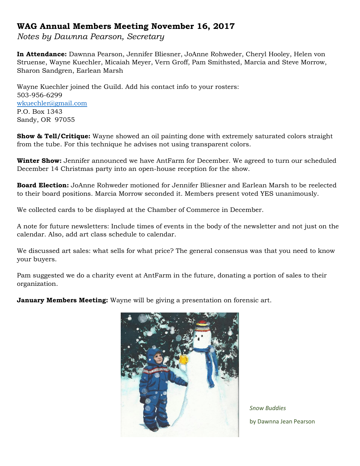#### **WAG Annual Members Meeting November 16, 2017**

*Notes by Dawnna Pearson, Secretary*

**In Attendance:** Dawnna Pearson, Jennifer Bliesner, JoAnne Rohweder, Cheryl Hooley, Helen von Struense, Wayne Kuechler, Micaiah Meyer, Vern Groff, Pam Smithsted, Marcia and Steve Morrow, Sharon Sandgren, Earlean Marsh

Wayne Kuechler joined the Guild. Add his contact info to your rosters: 503-956-6299 [wkuechler@gmail.com](mailto:wkuechler@gmail.com) P.O. Box 1343 Sandy, OR 97055

**Show & Tell/Critique:** Wayne showed an oil painting done with extremely saturated colors straight from the tube. For this technique he advises not using transparent colors.

**Winter Show:** Jennifer announced we have AntFarm for December. We agreed to turn our scheduled December 14 Christmas party into an open-house reception for the show.

**Board Election:** JoAnne Rohweder motioned for Jennifer Bliesner and Earlean Marsh to be reelected to their board positions. Marcia Morrow seconded it. Members present voted YES unanimously.

We collected cards to be displayed at the Chamber of Commerce in December.

A note for future newsletters: Include times of events in the body of the newsletter and not just on the calendar. Also, add art class schedule to calendar.

We discussed art sales: what sells for what price? The general consensus was that you need to know your buyers.

Pam suggested we do a charity event at AntFarm in the future, donating a portion of sales to their organization.

**January Members Meeting:** Wayne will be giving a presentation on forensic art.



*Snow Buddies* by Dawnna Jean Pearson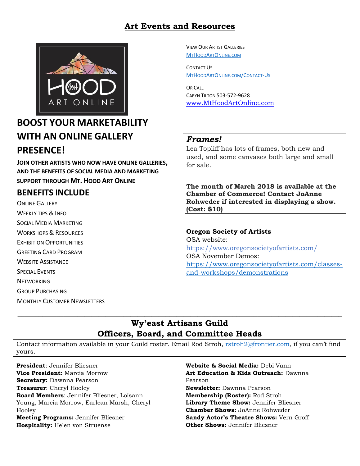### **Art Events and Resources**



# **BOOST YOUR MARKETABILITY WITH AN ONLINE GALLERY PRESENCE!**

**JOIN OTHER ARTISTS WHO NOW HAVE ONLINE GALLERIES, AND THE BENEFITS OF SOCIAL MEDIA AND MARKETING SUPPORT THROUGH MT. HOOD ART ONLINE**

### **BENEFITS INCLUDE**

ONLINE GALLERY WEEKLY TIPS & INFO SOCIAL MEDIA MARKETING WORKSHOPS & RESOURCES EXHIBITION OPPORTUNITIES GREETING CARD PROGRAM WEBSITE ASSISTANCE SPECIAL EVENTS **NETWORKING** GROUP PURCHASING

MONTHLY CUSTOMER NEWSLETTERS

VIEW OUR ARTIST GALLERIES [M](http://www.mthoodartonline.com/)[T](http://www.mthoodartonline.com/)[H](http://www.mthoodartonline.com/)[OOD](http://www.mthoodartonline.com/)[A](http://www.mthoodartonline.com/)[RT](http://www.mthoodartonline.com/)[O](http://www.mthoodartonline.com/)[NLINE](http://www.mthoodartonline.com/)[.](http://www.mthoodartonline.com/)[COM](http://www.mthoodartonline.com/)

CONTACT US [M](http://www.mthoodartonline/Contact-Us)[T](http://www.mthoodartonline/Contact-Us)[H](http://www.mthoodartonline/Contact-Us)[OOD](http://www.mthoodartonline/Contact-Us)[A](http://www.mthoodartonline/Contact-Us)[RT](http://www.mthoodartonline/Contact-Us)[O](http://www.mthoodartonline/Contact-Us)[NLINE](http://www.mthoodartonline/Contact-Us)[.](http://www.mthoodartonline/Contact-Us)[COM](http://www.mthoodartonline/Contact-Us)[/C](http://www.mthoodartonline/Contact-Us)[ONTACT](http://www.mthoodartonline/Contact-Us)[-U](http://www.mthoodartonline/Contact-Us)[S](http://www.mthoodartonline/Contact-Us)

OR CALL CARYN TILTON 503-572-9628 [www.MtHoodArtOnline.com](http://www.mthoodartonline.com/)

#### *Frames!*

Lea Topliff has lots of frames, both new and used, and some canvases both large and small for sale.

**The month of March 2018 is available at the Chamber of Commerce! Contact JoAnne Rohweder if interested in displaying a show. (Cost: \$10)**

#### **Oregon Society of Artists**

OSA website: <https://www.oregonsocietyofartists.com/> OSA November Demos: [https://www.oregonsocietyofartists.com/classes](https://www.oregonsocietyofartists.com/classes-and-workshops/demonstrations)[and-workshops/demonstrations](https://www.oregonsocietyofartists.com/classes-and-workshops/demonstrations)

#### **Wy'east Artisans Guild Officers, Board, and Committee Heads**

 $\_$  , and the set of the set of the set of the set of the set of the set of the set of the set of the set of the set of the set of the set of the set of the set of the set of the set of the set of the set of the set of th

Contact information available in your Guild roster. Email Rod Stroh, [rstroh2@frontier.com](mailto:rstroh2@frontier.com), if you can't find yours.

**President**: Jennifer Bliesner **Vice President:** Marcia Morrow **Secretary:** Dawnna Pearson **Treasurer**: Cheryl Hooley **Board Members**: Jennifer Bliesner, Loisann Young, Marcia Morrow, Earlean Marsh, Cheryl **Hooley Meeting Programs:** Jennifer Bliesner **Hospitality:** Helen von Struense

**Website & Social Media:** Debi Vann **Art Education & Kids Outreach:** Dawnna Pearson **Newsletter:** Dawnna Pearson **Membership (Roster):** Rod Stroh **Library Theme Show:** Jennifer Bliesner **Chamber Shows:** JoAnne Rohweder **Sandy Actor's Theatre Shows:** Vern Groff **Other Shows:** Jennifer Bliesner